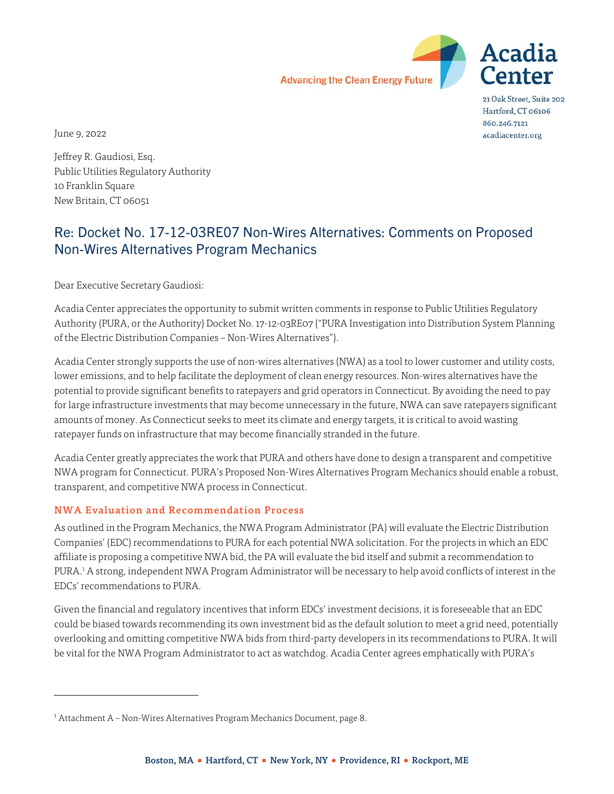**Advancing the Clean Energy Future** 



21 Oak Street, Suite 202 Hartford, CT 06106 860.246.7121 acadiacenter.org

June 9, 2022

Jeffrey R. Gaudiosi, Esq. Public Utilities Regulatory Authority 10 Franklin Square New Britain, CT 06051

# Re: Docket No. 17-12-03RE07 Non-Wires Alternatives: Comments on Proposed Non-Wires Alternatives Program Mechanics

Dear Executive Secretary Gaudiosi:

Acadia Center appreciates the opportunity to submit written comments in response to Public Utilities Regulatory Authority (PURA, or the Authority) Docket No. 17-12-03RE07 ("PURA Investigation into Distribution System Planning of the Electric Distribution Companies – Non-Wires Alternatives").

Acadia Center strongly supports the use of non-wires alternatives (NWA) as a tool to lower customer and utility costs, lower emissions, and to help facilitate the deployment of clean energy resources. Non-wires alternatives have the potential to provide significant benefits to ratepayers and grid operators in Connecticut. By avoiding the need to pay for large infrastructure investments that may become unnecessary in the future, NWA can save ratepayers significant amounts of money. As Connecticut seeks to meet its climate and energy targets, it is critical to avoid wasting ratepayer funds on infrastructure that may become financially stranded in the future.

Acadia Center greatly appreciates the work that PURA and others have done to design a transparent and competitive NWA program for Connecticut. PURA's Proposed Non-Wires Alternatives Program Mechanics should enable a robust, transparent, and competitive NWA process in Connecticut.

## NWA Evaluation and Recommendation Process

As outlined in the Program Mechanics, the NWA Program Administrator (PA) will evaluate the Electric Distribution Companies' (EDC) recommendations to PURA for each potential NWA solicitation. For the projects in which an EDC affiliate is proposing a competitive NWA bid, the PA will evaluate the bid itself and submit a recommendation to PURA.<sup>1</sup> A strong, independent NWA Program Administrator will be necessary to help avoid conflicts of interest in the EDCs' recommendations to PURA.

Given the financial and regulatory incentives that inform EDCs' investment decisions, it is foreseeable that an EDC could be biased towards recommending its own investment bid as the default solution to meet a grid need, potentially overlooking and omitting competitive NWA bids from third-party developers in its recommendations to PURA. It will be vital for the NWA Program Administrator to act as watchdog. Acadia Center agrees emphatically with PURA's

<sup>&</sup>lt;sup>1</sup> Attachment A – Non-Wires Alternatives Program Mechanics Document, page 8.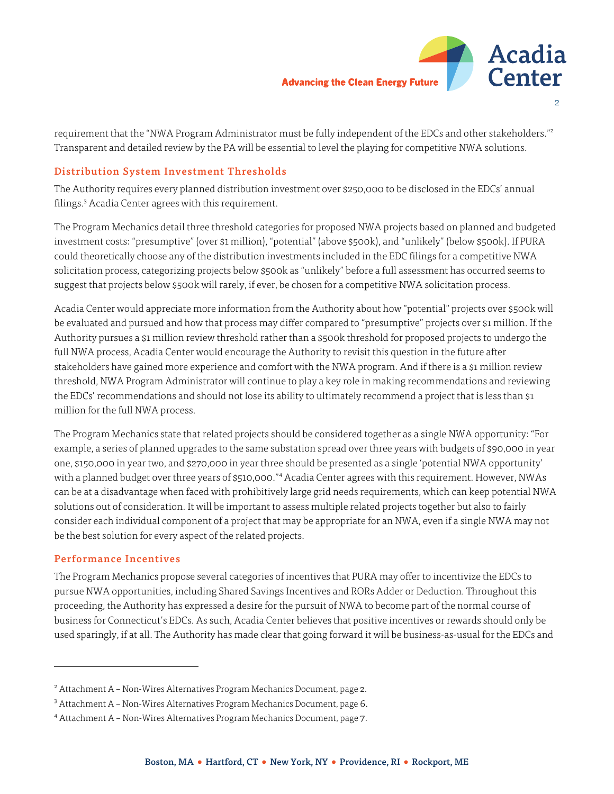

2

requirement that the "NWA Program Administrator must be fully independent of the EDCs and other stakeholders."2 Transparent and detailed review by the PA will be essential to level the playing for competitive NWA solutions.

### Distribution System Investment Thresholds

The Authority requires every planned distribution investment over \$250,000 to be disclosed in the EDCs' annual filings.<sup>3</sup> Acadia Center agrees with this requirement.

The Program Mechanics detail three threshold categories for proposed NWA projects based on planned and budgeted investment costs: "presumptive" (over \$1 million), "potential" (above \$500k), and "unlikely" (below \$500k). If PURA could theoretically choose any of the distribution investments included in the EDC filings for a competitive NWA solicitation process, categorizing projects below \$500k as "unlikely" before a full assessment has occurred seems to suggest that projects below \$500k will rarely, if ever, be chosen for a competitive NWA solicitation process.

Acadia Center would appreciate more information from the Authority about how "potential" projects over \$500k will be evaluated and pursued and how that process may differ compared to "presumptive" projects over \$1 million. If the Authority pursues a \$1 million review threshold rather than a \$500k threshold for proposed projects to undergo the full NWA process, Acadia Center would encourage the Authority to revisit this question in the future after stakeholders have gained more experience and comfort with the NWA program. And if there is a \$1 million review threshold, NWA Program Administrator will continue to play a key role in making recommendations and reviewing the EDCs' recommendations and should not lose its ability to ultimately recommend a project that is less than \$1 million for the full NWA process.

The Program Mechanics state that related projects should be considered together as a single NWA opportunity: "For example, a series of planned upgrades to the same substation spread over three years with budgets of \$90,000 in year one, \$150,000 in year two, and \$270,000 in year three should be presented as a single 'potential NWA opportunity' with a planned budget over three years of \$510,000."<sup>4</sup> Acadia Center agrees with this requirement. However, NWAs can be at a disadvantage when faced with prohibitively large grid needs requirements, which can keep potential NWA solutions out of consideration. It will be important to assess multiple related projects together but also to fairly consider each individual component of a project that may be appropriate for an NWA, even if a single NWA may not be the best solution for every aspect of the related projects.

#### Performance Incentives

The Program Mechanics propose several categories of incentives that PURA may offer to incentivize the EDCs to pursue NWA opportunities, including Shared Savings Incentives and RORs Adder or Deduction. Throughout this proceeding, the Authority has expressed a desire for the pursuit of NWA to become part of the normal course of business for Connecticut's EDCs. As such, Acadia Center believes that positive incentives or rewards should only be used sparingly, if at all. The Authority has made clear that going forward it will be business-as-usual for the EDCs and

<sup>2</sup> Attachment A – Non-Wires Alternatives Program Mechanics Document, page 2.

<sup>3</sup> Attachment A – Non-Wires Alternatives Program Mechanics Document, page 6.

<sup>4</sup> Attachment A – Non-Wires Alternatives Program Mechanics Document, page 7.